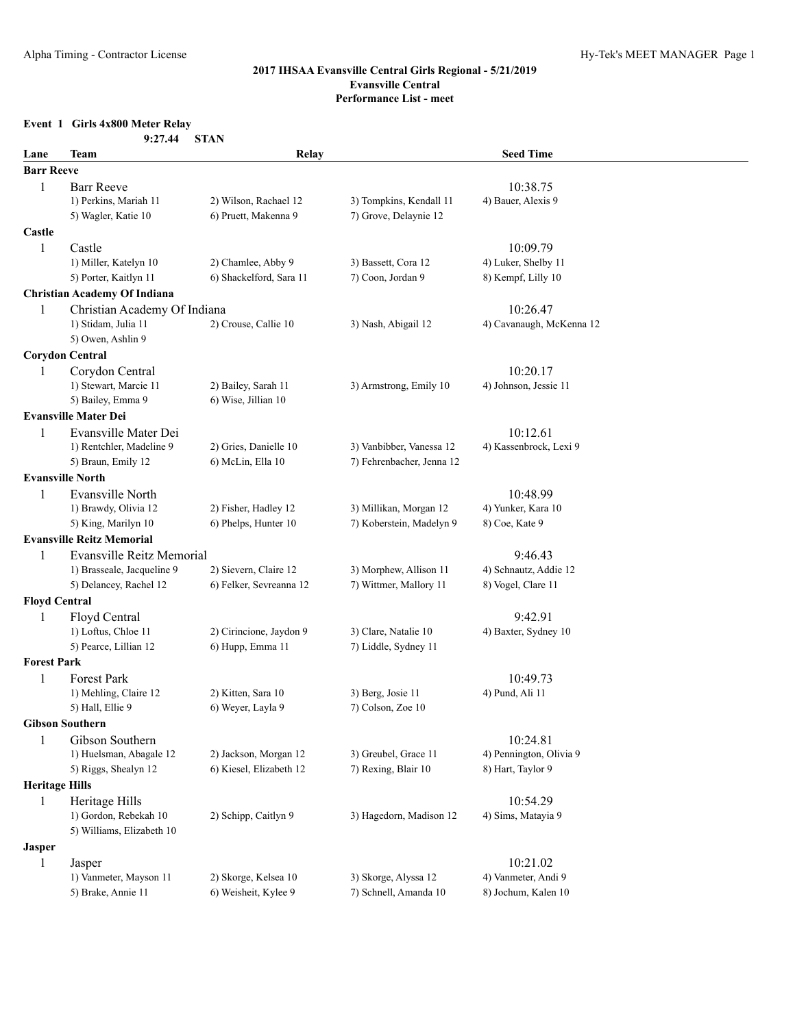## **Event 1 Girls 4x800 Meter Relay**

|                       | 9:27.44                             | <b>STAN</b>             |                           |                          |  |
|-----------------------|-------------------------------------|-------------------------|---------------------------|--------------------------|--|
| Lane                  | Team                                | Relay                   |                           | <b>Seed Time</b>         |  |
| <b>Barr Reeve</b>     |                                     |                         |                           |                          |  |
| $\mathbf{1}$          | <b>Barr Reeve</b>                   |                         |                           | 10:38.75                 |  |
|                       | 1) Perkins, Mariah 11               | 2) Wilson, Rachael 12   | 3) Tompkins, Kendall 11   | 4) Bauer, Alexis 9       |  |
|                       | 5) Wagler, Katie 10                 | 6) Pruett, Makenna 9    | 7) Grove, Delaynie 12     |                          |  |
| Castle                |                                     |                         |                           |                          |  |
| 1                     | Castle                              |                         |                           | 10:09.79                 |  |
|                       | 1) Miller, Katelyn 10               | 2) Chamlee, Abby 9      | 3) Bassett, Cora 12       | 4) Luker, Shelby 11      |  |
|                       | 5) Porter, Kaitlyn 11               | 6) Shackelford, Sara 11 | 7) Coon, Jordan 9         | 8) Kempf, Lilly 10       |  |
|                       | <b>Christian Academy Of Indiana</b> |                         |                           |                          |  |
| 1                     | Christian Academy Of Indiana        |                         |                           | 10:26.47                 |  |
|                       | 1) Stidam, Julia 11                 | 2) Crouse, Callie 10    | 3) Nash, Abigail 12       | 4) Cavanaugh, McKenna 12 |  |
|                       | 5) Owen, Ashlin 9                   |                         |                           |                          |  |
|                       | <b>Corydon Central</b>              |                         |                           |                          |  |
| 1                     | Corydon Central                     |                         |                           | 10:20.17                 |  |
|                       | 1) Stewart, Marcie 11               | 2) Bailey, Sarah 11     | 3) Armstrong, Emily 10    | 4) Johnson, Jessie 11    |  |
|                       | 5) Bailey, Emma 9                   | 6) Wise, Jillian 10     |                           |                          |  |
|                       | <b>Evansville Mater Dei</b>         |                         |                           |                          |  |
| 1                     | Evansville Mater Dei                |                         |                           | 10:12.61                 |  |
|                       | 1) Rentchler, Madeline 9            | 2) Gries, Danielle 10   | 3) Vanbibber, Vanessa 12  | 4) Kassenbrock, Lexi 9   |  |
|                       | 5) Braun, Emily 12                  | 6) McLin, Ella 10       | 7) Fehrenbacher, Jenna 12 |                          |  |
|                       | <b>Evansville North</b>             |                         |                           |                          |  |
| 1                     | Evansville North                    |                         |                           | 10:48.99                 |  |
|                       | 1) Brawdy, Olivia 12                | 2) Fisher, Hadley 12    | 3) Millikan, Morgan 12    | 4) Yunker, Kara 10       |  |
|                       | 5) King, Marilyn 10                 | 6) Phelps, Hunter 10    | 7) Koberstein, Madelyn 9  | 8) Coe, Kate 9           |  |
|                       | <b>Evansville Reitz Memorial</b>    |                         |                           |                          |  |
| 1                     | Evansville Reitz Memorial           |                         |                           | 9:46.43                  |  |
|                       | 1) Brasseale, Jacqueline 9          | 2) Sievern, Claire 12   | 3) Morphew, Allison 11    | 4) Schnautz, Addie 12    |  |
|                       | 5) Delancey, Rachel 12              | 6) Felker, Sevreanna 12 | 7) Wittmer, Mallory 11    | 8) Vogel, Clare 11       |  |
| <b>Floyd Central</b>  |                                     |                         |                           |                          |  |
| 1                     | Floyd Central                       |                         |                           | 9:42.91                  |  |
|                       | 1) Loftus, Chloe 11                 | 2) Cirincione, Jaydon 9 | 3) Clare, Natalie 10      | 4) Baxter, Sydney 10     |  |
|                       | 5) Pearce, Lillian 12               | 6) Hupp, Emma 11        | 7) Liddle, Sydney 11      |                          |  |
| <b>Forest Park</b>    |                                     |                         |                           |                          |  |
| 1                     | Forest Park                         |                         |                           | 10:49.73                 |  |
|                       | 1) Mehling, Claire 12               | 2) Kitten, Sara 10      | 3) Berg, Josie 11         | 4) Pund, Ali 11          |  |
|                       | 5) Hall, Ellie 9                    | 6) Weyer, Layla 9       | 7) Colson, Zoe 10         |                          |  |
|                       | <b>Gibson Southern</b>              |                         |                           |                          |  |
| 1                     | Gibson Southern                     |                         |                           | 10:24.81                 |  |
|                       | 1) Huelsman, Abagale 12             | 2) Jackson, Morgan 12   | 3) Greubel, Grace 11      | 4) Pennington, Olivia 9  |  |
|                       | 5) Riggs, Shealyn 12                | 6) Kiesel, Elizabeth 12 | 7) Rexing, Blair 10       | 8) Hart, Taylor 9        |  |
| <b>Heritage Hills</b> |                                     |                         |                           |                          |  |
| $\mathbf{1}$          | Heritage Hills                      |                         |                           | 10:54.29                 |  |
|                       | 1) Gordon, Rebekah 10               | 2) Schipp, Caitlyn 9    | 3) Hagedorn, Madison 12   | 4) Sims, Matayia 9       |  |
|                       | 5) Williams, Elizabeth 10           |                         |                           |                          |  |
| <b>Jasper</b>         |                                     |                         |                           |                          |  |
| 1                     | Jasper                              |                         |                           | 10:21.02                 |  |
|                       | 1) Vanmeter, Mayson 11              | 2) Skorge, Kelsea 10    | 3) Skorge, Alyssa 12      | 4) Vanmeter, Andi 9      |  |
|                       | 5) Brake, Annie 11                  | 6) Weisheit, Kylee 9    | 7) Schnell, Amanda 10     | 8) Jochum, Kalen 10      |  |
|                       |                                     |                         |                           |                          |  |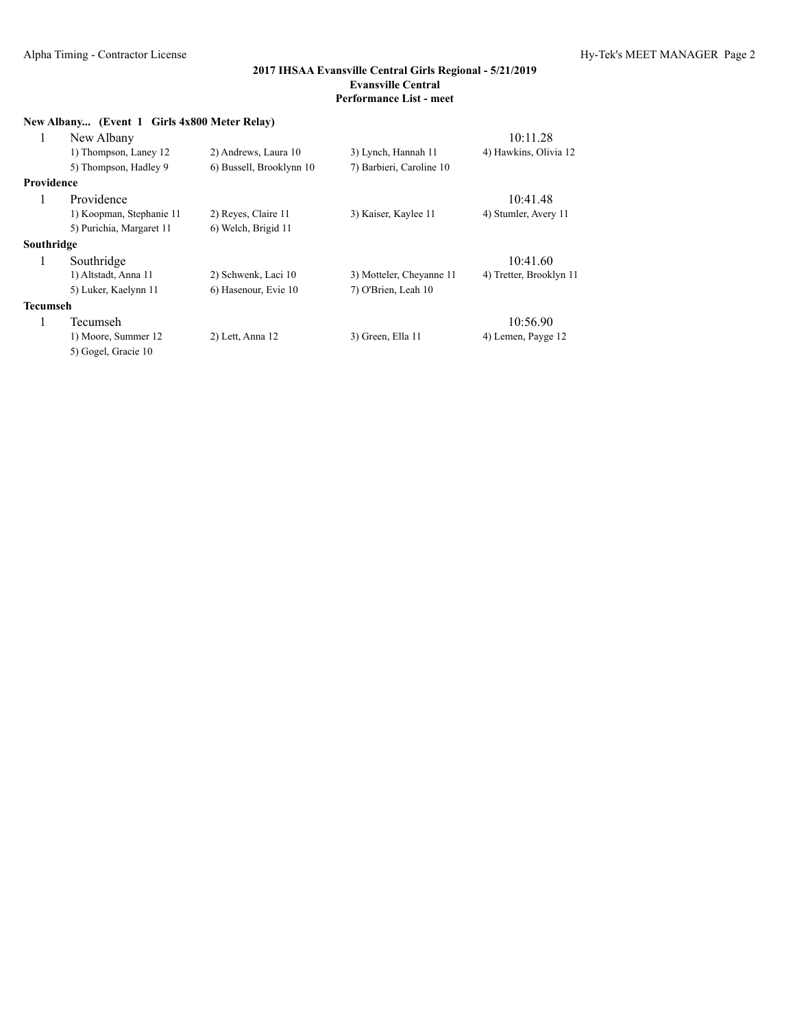| New Albany (Event 1 Girls 4x800 Meter Relay) |                          |                          |                          |                         |  |  |
|----------------------------------------------|--------------------------|--------------------------|--------------------------|-------------------------|--|--|
| 1                                            | New Albany               |                          |                          | 10:11.28                |  |  |
|                                              | 1) Thompson, Laney 12    | 2) Andrews, Laura 10     | 3) Lynch, Hannah 11      | 4) Hawkins, Olivia 12   |  |  |
|                                              | 5) Thompson, Hadley 9    | 6) Bussell, Brooklynn 10 | 7) Barbieri, Caroline 10 |                         |  |  |
| Providence                                   |                          |                          |                          |                         |  |  |
|                                              | Providence               |                          |                          | 10:41.48                |  |  |
|                                              | 1) Koopman, Stephanie 11 | 2) Reyes, Claire 11      | 3) Kaiser, Kaylee 11     | 4) Stumler, Avery 11    |  |  |
|                                              | 5) Purichia, Margaret 11 | 6) Welch, Brigid 11      |                          |                         |  |  |
| Southridge                                   |                          |                          |                          |                         |  |  |
| 1                                            | Southridge               |                          |                          | 10:41.60                |  |  |
|                                              | 1) Altstadt, Anna 11     | 2) Schwenk, Laci 10      | 3) Motteler, Cheyanne 11 | 4) Tretter, Brooklyn 11 |  |  |
|                                              | 5) Luker, Kaelynn 11     | 6) Hasenour, Evie 10     | 7) O'Brien, Leah 10      |                         |  |  |
| <b>Tecumseh</b>                              |                          |                          |                          |                         |  |  |
| $\mathbf{I}$                                 | Tecumseh                 |                          |                          | 10:56.90                |  |  |
|                                              | 1) Moore, Summer 12      | 2) Lett, Anna 12         | 3) Green, Ella 11        | 4) Lemen, Payge 12      |  |  |
|                                              | 5) Gogel, Gracie 10      |                          |                          |                         |  |  |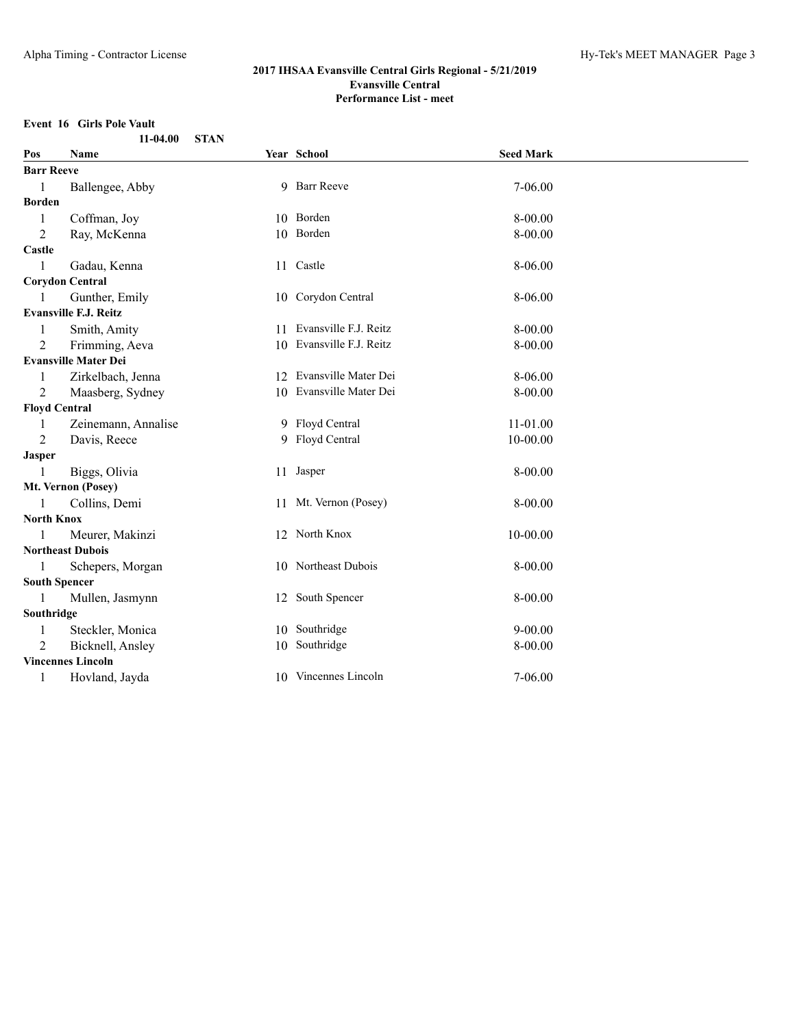## **Event 16 Girls Pole Vault**

| 11-04.00<br><b>STAN</b> |                              |    |                          |                  |  |
|-------------------------|------------------------------|----|--------------------------|------------------|--|
| Pos                     | Name                         |    | Year School              | <b>Seed Mark</b> |  |
| <b>Barr Reeve</b>       |                              |    |                          |                  |  |
| $\mathbf{1}$            | Ballengee, Abby              |    | 9 Barr Reeve             | 7-06.00          |  |
| <b>Borden</b>           |                              |    |                          |                  |  |
| 1                       | Coffman, Joy                 |    | 10 Borden                | 8-00.00          |  |
| 2                       | Ray, McKenna                 |    | 10 Borden                | 8-00.00          |  |
| Castle                  |                              |    |                          |                  |  |
| $\mathbf{1}$            | Gadau, Kenna                 |    | 11 Castle                | 8-06.00          |  |
|                         | <b>Corydon Central</b>       |    |                          |                  |  |
| 1                       | Gunther, Emily               |    | 10 Corydon Central       | 8-06.00          |  |
|                         | <b>Evansville F.J. Reitz</b> |    |                          |                  |  |
| 1                       | Smith, Amity                 |    | 11 Evansville F.J. Reitz | 8-00.00          |  |
| $\overline{2}$          | Frimming, Aeva               |    | 10 Evansville F.J. Reitz | 8-00.00          |  |
|                         | <b>Evansville Mater Dei</b>  |    |                          |                  |  |
| 1                       | Zirkelbach, Jenna            |    | 12 Evansville Mater Dei  | 8-06.00          |  |
| $\overline{2}$          | Maasberg, Sydney             |    | 10 Evansville Mater Dei  | 8-00.00          |  |
| <b>Floyd Central</b>    |                              |    |                          |                  |  |
| 1                       | Zeinemann, Annalise          |    | 9 Floyd Central          | 11-01.00         |  |
| 2                       | Davis, Reece                 |    | 9 Floyd Central          | 10-00.00         |  |
| <b>Jasper</b>           |                              |    |                          |                  |  |
| 1                       | Biggs, Olivia                |    | 11 Jasper                | 8-00.00          |  |
|                         | Mt. Vernon (Posey)           |    |                          |                  |  |
| 1                       | Collins, Demi                |    | 11 Mt. Vernon (Posey)    | 8-00.00          |  |
| <b>North Knox</b>       |                              |    |                          |                  |  |
| 1                       | Meurer, Makinzi              |    | 12 North Knox            | 10-00.00         |  |
|                         | <b>Northeast Dubois</b>      |    |                          |                  |  |
|                         | Schepers, Morgan             |    | 10 Northeast Dubois      | 8-00.00          |  |
| <b>South Spencer</b>    |                              |    |                          |                  |  |
| $\mathbf{1}$            | Mullen, Jasmynn              |    | 12 South Spencer         | 8-00.00          |  |
| Southridge              |                              |    |                          |                  |  |
| 1                       | Steckler, Monica             |    | 10 Southridge            | $9 - 00.00$      |  |
| $\overline{2}$          | Bicknell, Ansley             | 10 | Southridge               | 8-00.00          |  |
|                         | <b>Vincennes Lincoln</b>     |    |                          |                  |  |
| 1                       | Hovland, Jayda               |    | 10 Vincennes Lincoln     | 7-06.00          |  |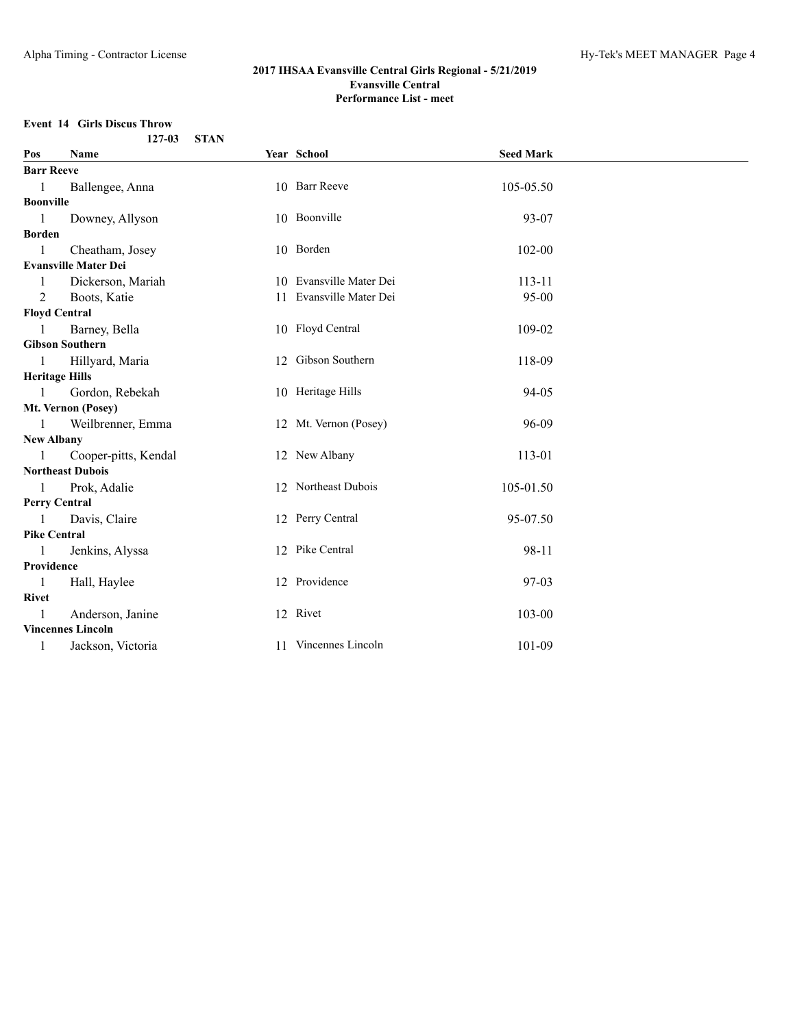## **Event 14 Girls Discus Throw**

|                       | $127 - 03$                  | <b>STAN</b> |                         |                  |  |
|-----------------------|-----------------------------|-------------|-------------------------|------------------|--|
| Pos                   | Name                        |             | Year School             | <b>Seed Mark</b> |  |
| <b>Barr Reeve</b>     |                             |             |                         |                  |  |
| $\mathbf{1}$          | Ballengee, Anna             |             | 10 Barr Reeve           | 105-05.50        |  |
| Boonville             |                             |             |                         |                  |  |
| $\overline{1}$        | Downey, Allyson             |             | 10 Boonville            | 93-07            |  |
| Borden                |                             |             |                         |                  |  |
| $\mathbf{1}$          | Cheatham, Josey             |             | 10 Borden               | 102-00           |  |
|                       | <b>Evansville Mater Dei</b> |             |                         |                  |  |
| $\mathbf{1}$          | Dickerson, Mariah           |             | 10 Evansville Mater Dei | 113-11           |  |
| 2                     | Boots, Katie                |             | 11 Evansville Mater Dei | $95 - 00$        |  |
| <b>Floyd Central</b>  |                             |             |                         |                  |  |
| $\overline{1}$        | Barney, Bella               |             | 10 Floyd Central        | 109-02           |  |
|                       | <b>Gibson Southern</b>      |             |                         |                  |  |
| $\mathbf{1}$          | Hillyard, Maria             |             | 12 Gibson Southern      | 118-09           |  |
| <b>Heritage Hills</b> |                             |             |                         |                  |  |
| $\mathbf{1}$          | Gordon, Rebekah             |             | 10 Heritage Hills       | 94-05            |  |
|                       | Mt. Vernon (Posey)          |             |                         |                  |  |
| -1                    | Weilbrenner, Emma           |             | 12 Mt. Vernon (Posey)   | 96-09            |  |
| <b>New Albany</b>     |                             |             |                         |                  |  |
| $\blacksquare$        | Cooper-pitts, Kendal        |             | 12 New Albany           | 113-01           |  |
|                       | <b>Northeast Dubois</b>     |             |                         |                  |  |
| $\mathbf{1}$          | Prok, Adalie                |             | 12 Northeast Dubois     | 105-01.50        |  |
| <b>Perry Central</b>  |                             |             |                         |                  |  |
| $\overline{1}$        | Davis, Claire               |             | 12 Perry Central        | 95-07.50         |  |
| <b>Pike Central</b>   |                             |             |                         |                  |  |
| -1                    | Jenkins, Alyssa             |             | 12 Pike Central         | 98-11            |  |
| Providence            |                             |             |                         |                  |  |
| $\overline{1}$        | Hall, Haylee                |             | 12 Providence           | 97-03            |  |
| Rivet                 |                             |             |                         |                  |  |
| $\mathbf{1}$          | Anderson, Janine            |             | 12 Rivet                | $103 - 00$       |  |
|                       | <b>Vincennes Lincoln</b>    |             |                         |                  |  |
| -1                    | Jackson, Victoria           |             | 11 Vincennes Lincoln    | 101-09           |  |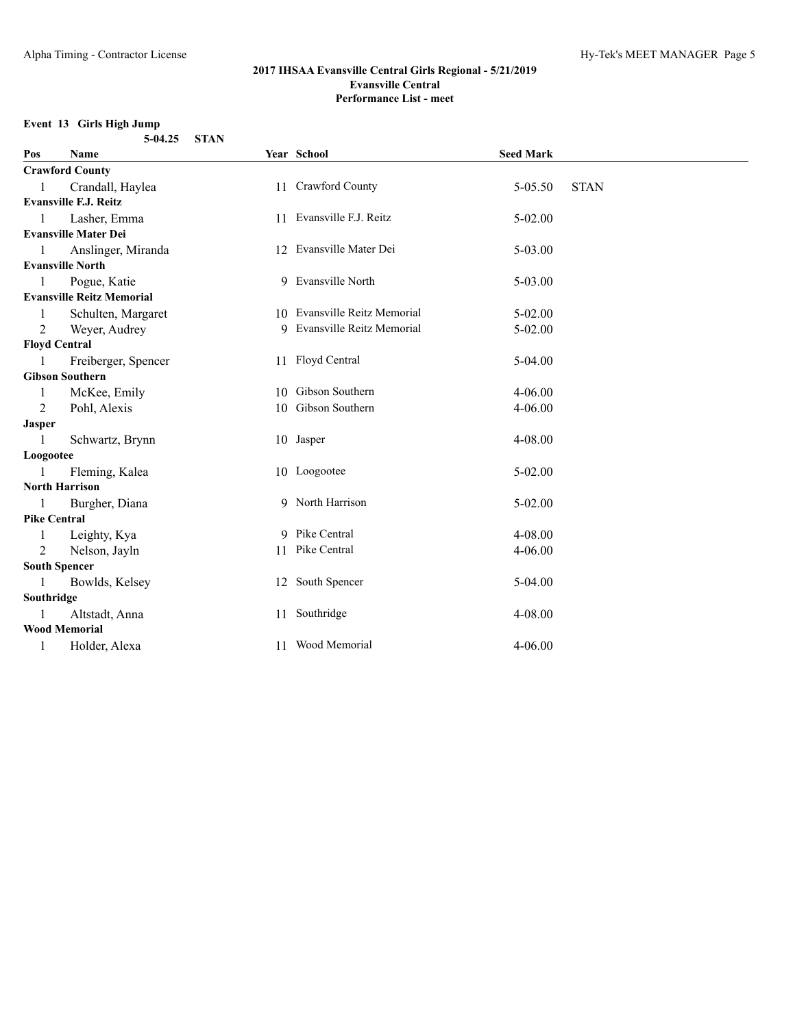## **Event 13 Girls High Jump**

| $5-04.25$ STAN |  |
|----------------|--|
|                |  |

| Pos                 | <b>Name</b>                      | Year School                  | <b>Seed Mark</b> |             |
|---------------------|----------------------------------|------------------------------|------------------|-------------|
|                     | <b>Crawford County</b>           |                              |                  |             |
|                     | Crandall, Haylea                 | 11 Crawford County           | $5 - 05.50$      | <b>STAN</b> |
|                     | <b>Evansville F.J. Reitz</b>     |                              |                  |             |
| 1                   | Lasher, Emma                     | 11 Evansville F.J. Reitz     | $5 - 02.00$      |             |
|                     | <b>Evansville Mater Dei</b>      |                              |                  |             |
|                     | Anslinger, Miranda               | 12 Evansville Mater Dei      | 5-03.00          |             |
|                     | <b>Evansville North</b>          |                              |                  |             |
| 1                   | Pogue, Katie                     | 9 Evansville North           | 5-03.00          |             |
|                     | <b>Evansville Reitz Memorial</b> |                              |                  |             |
| 1                   | Schulten, Margaret               | 10 Evansville Reitz Memorial | $5 - 02.00$      |             |
| 2                   | Weyer, Audrey                    | 9 Evansville Reitz Memorial  | $5 - 02.00$      |             |
|                     | <b>Floyd Central</b>             |                              |                  |             |
|                     | Freiberger, Spencer              | 11 Floyd Central             | $5-04.00$        |             |
|                     | <b>Gibson Southern</b>           |                              |                  |             |
| 1                   | McKee, Emily                     | 10 Gibson Southern           | $4 - 06.00$      |             |
| 2                   | Pohl, Alexis                     | 10 Gibson Southern           | $4 - 06.00$      |             |
| <b>Jasper</b>       |                                  |                              |                  |             |
|                     | Schwartz, Brynn                  | 10 Jasper                    | 4-08.00          |             |
| Loogootee           |                                  |                              |                  |             |
|                     | Fleming, Kalea                   | 10 Loogootee                 | $5 - 02.00$      |             |
|                     | <b>North Harrison</b>            |                              |                  |             |
| -1                  | Burgher, Diana                   | 9 North Harrison             | 5-02.00          |             |
| <b>Pike Central</b> |                                  |                              |                  |             |
| 1                   | Leighty, Kya                     | 9 Pike Central               | $4 - 08.00$      |             |
| $\overline{2}$      | Nelson, Jayln                    | 11 Pike Central              | $4 - 06.00$      |             |
|                     | <b>South Spencer</b>             |                              |                  |             |
| 1                   | Bowlds, Kelsey                   | 12 South Spencer             | $5-04.00$        |             |
| Southridge          |                                  |                              |                  |             |
|                     | Altstadt, Anna                   | 11 Southridge                | 4-08.00          |             |
|                     | <b>Wood Memorial</b>             |                              |                  |             |
| 1                   | Holder, Alexa                    | 11 Wood Memorial             | $4 - 06.00$      |             |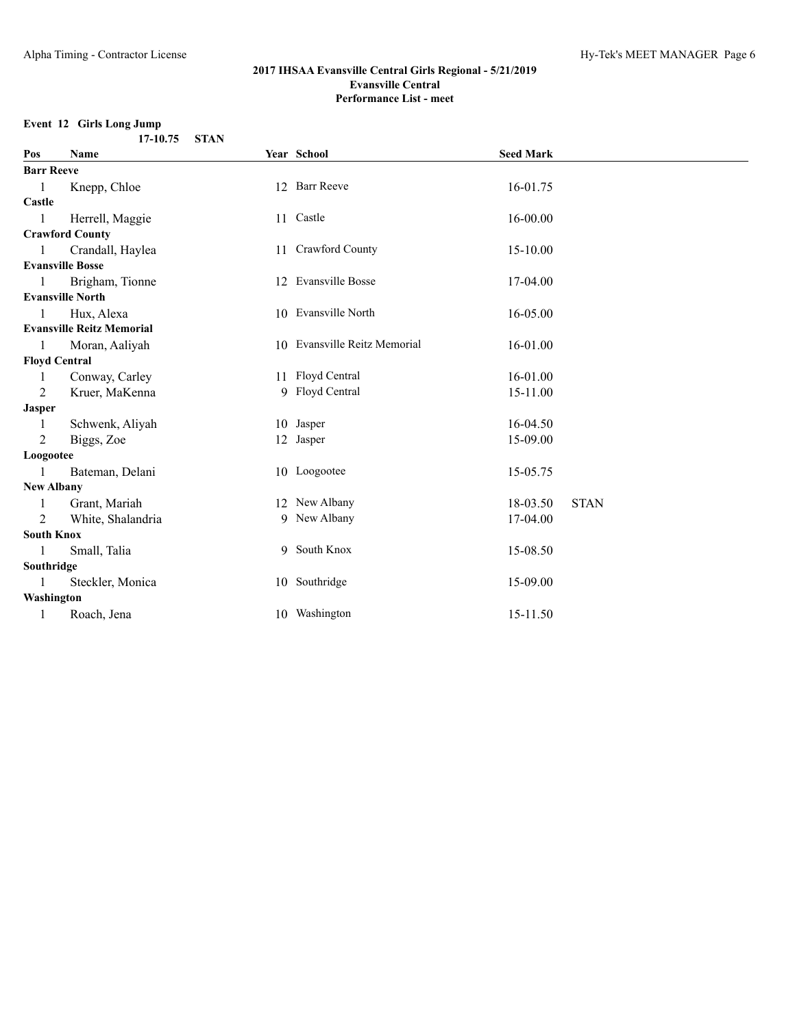## **Event 12 Girls Long Jump**

| 17-10.75 STAN |  |
|---------------|--|
|               |  |

| Pos               | Name                             | Year School                  | <b>Seed Mark</b> |             |
|-------------------|----------------------------------|------------------------------|------------------|-------------|
| <b>Barr Reeve</b> |                                  |                              |                  |             |
| $\mathbf{1}$      | Knepp, Chloe                     | 12 Barr Reeve                | 16-01.75         |             |
| Castle            |                                  |                              |                  |             |
| 1                 | Herrell, Maggie                  | 11 Castle                    | 16-00.00         |             |
|                   | <b>Crawford County</b>           |                              |                  |             |
| $\mathbf{1}$      | Crandall, Haylea                 | 11 Crawford County           | 15-10.00         |             |
|                   | <b>Evansville Bosse</b>          |                              |                  |             |
| $\mathbf{1}$      | Brigham, Tionne                  | 12 Evansville Bosse          | 17-04.00         |             |
|                   | <b>Evansville North</b>          |                              |                  |             |
| 1                 | Hux, Alexa                       | 10 Evansville North          | 16-05.00         |             |
|                   | <b>Evansville Reitz Memorial</b> |                              |                  |             |
| $\mathbf{1}$      | Moran, Aaliyah                   | 10 Evansville Reitz Memorial | 16-01.00         |             |
|                   | <b>Floyd Central</b>             |                              |                  |             |
| 1                 | Conway, Carley                   | 11 Floyd Central             | 16-01.00         |             |
| 2                 | Kruer, MaKenna                   | 9 Floyd Central              | 15-11.00         |             |
| <b>Jasper</b>     |                                  |                              |                  |             |
| 1                 | Schwenk, Aliyah                  | 10 Jasper                    | 16-04.50         |             |
| 2                 | Biggs, Zoe                       | 12 Jasper                    | 15-09.00         |             |
| Loogootee         |                                  |                              |                  |             |
| 1                 | Bateman, Delani                  | 10 Loogootee                 | 15-05.75         |             |
| <b>New Albany</b> |                                  |                              |                  |             |
| 1                 | Grant, Mariah                    | 12 New Albany                | 18-03.50         | <b>STAN</b> |
| 2                 | White, Shalandria                | 9 New Albany                 | 17-04.00         |             |
| <b>South Knox</b> |                                  |                              |                  |             |
| $\mathbf{1}$      | Small, Talia                     | 9 South Knox                 | 15-08.50         |             |
| Southridge        |                                  |                              |                  |             |
| $\mathbf{1}$      | Steckler, Monica                 | 10 Southridge                | 15-09.00         |             |
| Washington        |                                  |                              |                  |             |
| 1                 | Roach, Jena                      | 10 Washington                | 15-11.50         |             |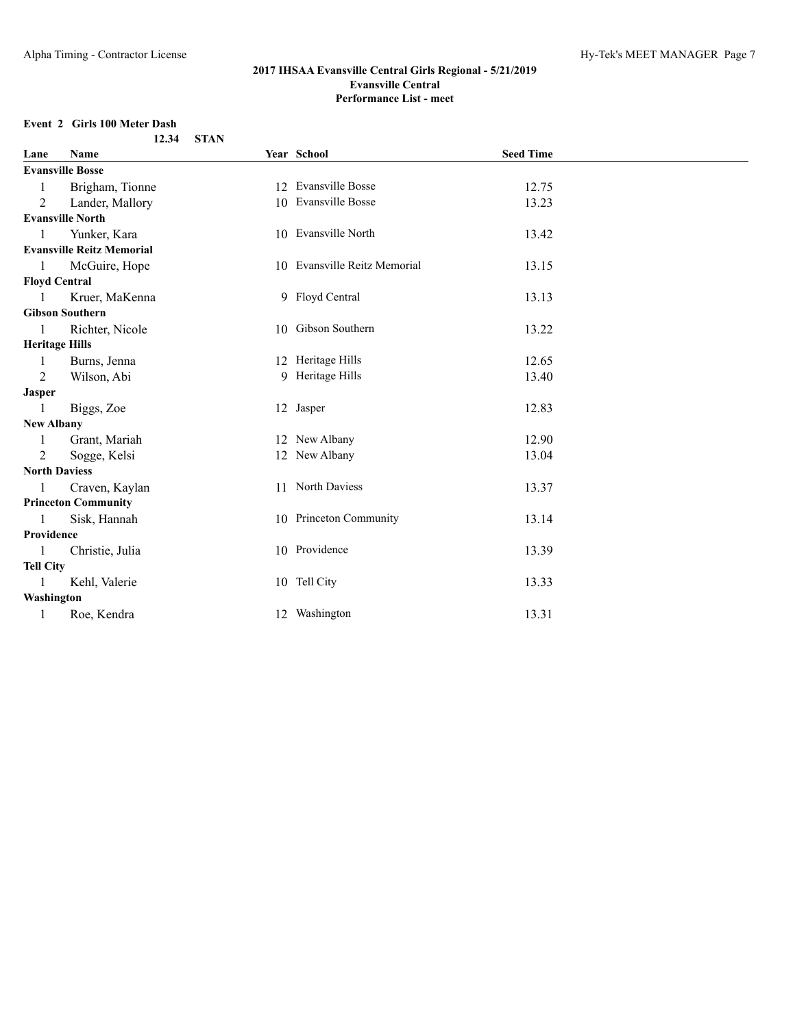#### **Event 2 Girls 100 Meter Dash 12.34 STAN**

| Lane                  | Name                             |    | Year School                  | <b>Seed Time</b> |  |
|-----------------------|----------------------------------|----|------------------------------|------------------|--|
|                       | <b>Evansville Bosse</b>          |    |                              |                  |  |
|                       | Brigham, Tionne                  | 12 | <b>Evansville Bosse</b>      | 12.75            |  |
| 2                     | Lander, Mallory                  |    | 10 Evansville Bosse          | 13.23            |  |
|                       | <b>Evansville North</b>          |    |                              |                  |  |
| 1                     | Yunker, Kara                     |    | 10 Evansville North          | 13.42            |  |
|                       | <b>Evansville Reitz Memorial</b> |    |                              |                  |  |
|                       | McGuire, Hope                    |    | 10 Evansville Reitz Memorial | 13.15            |  |
| <b>Floyd Central</b>  |                                  |    |                              |                  |  |
|                       | Kruer, MaKenna                   |    | 9 Floyd Central              | 13.13            |  |
|                       | <b>Gibson Southern</b>           |    |                              |                  |  |
|                       | Richter, Nicole                  |    | 10 Gibson Southern           | 13.22            |  |
| <b>Heritage Hills</b> |                                  |    |                              |                  |  |
|                       | Burns, Jenna                     |    | 12 Heritage Hills            | 12.65            |  |
| $\overline{2}$        | Wilson, Abi                      |    | 9 Heritage Hills             | 13.40            |  |
| <b>Jasper</b>         |                                  |    |                              |                  |  |
| 1                     | Biggs, Zoe                       |    | 12 Jasper                    | 12.83            |  |
| <b>New Albany</b>     |                                  |    |                              |                  |  |
|                       | Grant, Mariah                    |    | 12 New Albany                | 12.90            |  |
| 2                     | Sogge, Kelsi                     |    | 12 New Albany                | 13.04            |  |
| <b>North Daviess</b>  |                                  |    |                              |                  |  |
| 1                     | Craven, Kaylan                   |    | 11 North Daviess             | 13.37            |  |
|                       | <b>Princeton Community</b>       |    |                              |                  |  |
| 1                     | Sisk, Hannah                     |    | 10 Princeton Community       | 13.14            |  |
| Providence            |                                  |    |                              |                  |  |
| $\mathbf{1}$          | Christie, Julia                  |    | 10 Providence                | 13.39            |  |
| <b>Tell City</b>      |                                  |    |                              |                  |  |
| 1                     | Kehl, Valerie                    |    | 10 Tell City                 | 13.33            |  |
| Washington            |                                  |    |                              |                  |  |
| 1                     | Roe, Kendra                      |    | 12 Washington                | 13.31            |  |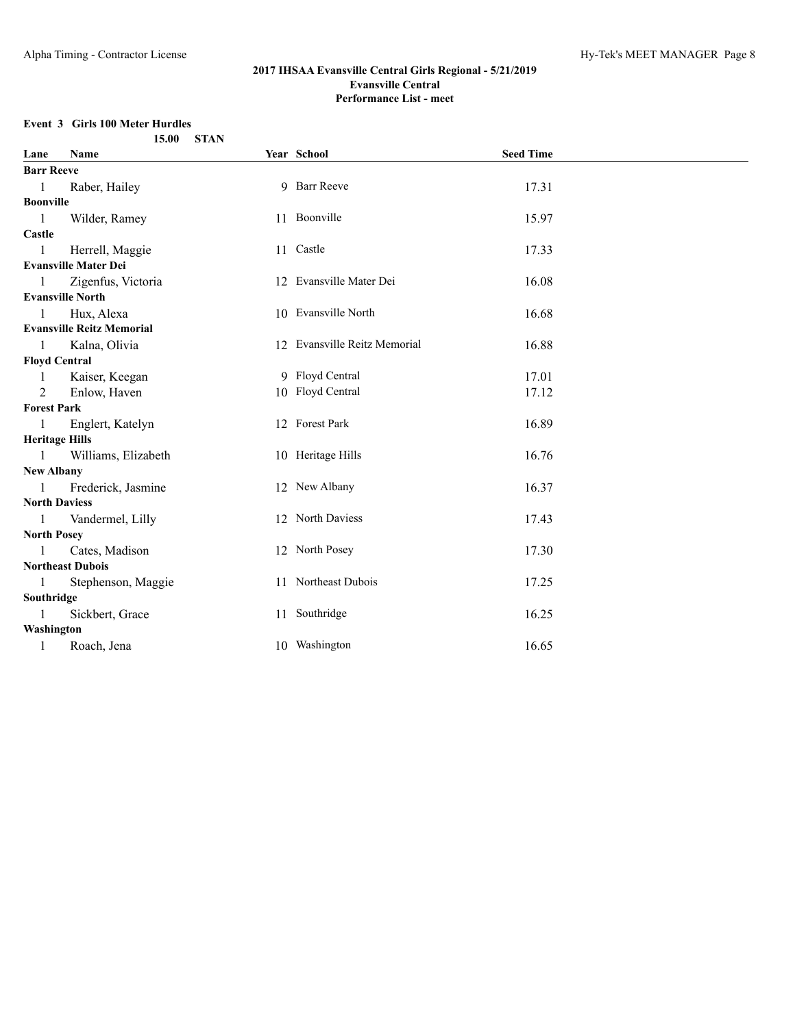## **Event 3 Girls 100 Meter Hurdles**

|                       | 15.00<br><b>STAN</b>             |                              |                  |  |
|-----------------------|----------------------------------|------------------------------|------------------|--|
| Lane                  | Name                             | Year School                  | <b>Seed Time</b> |  |
| <b>Barr Reeve</b>     |                                  |                              |                  |  |
| $\overline{1}$        | Raber, Hailey                    | 9 Barr Reeve                 | 17.31            |  |
| Boonville             |                                  |                              |                  |  |
| $\overline{1}$        | Wilder, Ramey                    | 11 Boonville                 | 15.97            |  |
| Castle                |                                  |                              |                  |  |
| $\mathbf{1}$          | Herrell, Maggie                  | 11 Castle                    | 17.33            |  |
|                       | <b>Evansville Mater Dei</b>      |                              |                  |  |
| $\mathbf{1}$          | Zigenfus, Victoria               | 12 Evansville Mater Dei      | 16.08            |  |
|                       | <b>Evansville North</b>          |                              |                  |  |
| -1                    | Hux, Alexa                       | 10 Evansville North          | 16.68            |  |
|                       | <b>Evansville Reitz Memorial</b> |                              |                  |  |
| $\overline{1}$        | Kalna, Olivia                    | 12 Evansville Reitz Memorial | 16.88            |  |
| <b>Floyd Central</b>  |                                  |                              |                  |  |
| -1                    | Kaiser, Keegan                   | 9 Floyd Central              | 17.01            |  |
| 2                     | Enlow, Haven                     | 10 Floyd Central             | 17.12            |  |
| <b>Forest Park</b>    |                                  |                              |                  |  |
| -1                    | Englert, Katelyn                 | 12 Forest Park               | 16.89            |  |
| <b>Heritage Hills</b> |                                  |                              |                  |  |
| $\blacksquare$        | Williams, Elizabeth              | 10 Heritage Hills            | 16.76            |  |
| <b>New Albany</b>     |                                  |                              |                  |  |
| $\mathbf{1}$          | Frederick, Jasmine               | 12 New Albany                | 16.37            |  |
| <b>North Daviess</b>  |                                  |                              |                  |  |
| $\overline{1}$        | Vandermel, Lilly                 | 12 North Daviess             | 17.43            |  |
| <b>North Posey</b>    |                                  |                              |                  |  |
| -1                    | Cates, Madison                   | 12 North Posey               | 17.30            |  |
|                       | <b>Northeast Dubois</b>          |                              |                  |  |
| $\blacksquare$        | Stephenson, Maggie               | 11 Northeast Dubois          | 17.25            |  |
| Southridge            |                                  |                              |                  |  |
| 1                     | Sickbert, Grace                  | 11 Southridge                | 16.25            |  |
| Washington            |                                  |                              |                  |  |
| 1                     | Roach, Jena                      | 10 Washington                | 16.65            |  |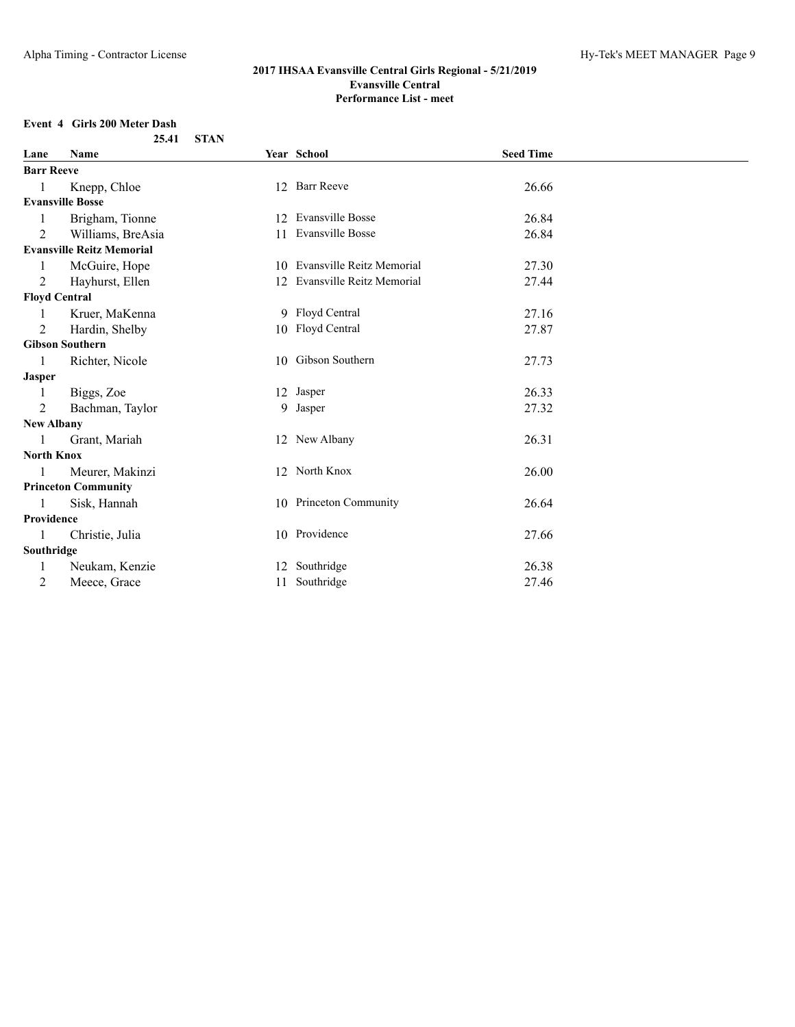## **Event 4 Girls 200 Meter Dash**

|                   | 25.41                            | <b>STAN</b> |                              |                  |  |
|-------------------|----------------------------------|-------------|------------------------------|------------------|--|
| Lane              | Name                             |             | Year School                  | <b>Seed Time</b> |  |
| <b>Barr Reeve</b> |                                  |             |                              |                  |  |
| 1                 | Knepp, Chloe                     |             | 12 Barr Reeve                | 26.66            |  |
|                   | <b>Evansville Bosse</b>          |             |                              |                  |  |
| 1                 | Brigham, Tionne                  |             | 12 Evansville Bosse          | 26.84            |  |
| $\mathfrak{D}$    | Williams, BreAsia                |             | 11 Evansville Bosse          | 26.84            |  |
|                   | <b>Evansville Reitz Memorial</b> |             |                              |                  |  |
|                   | McGuire, Hope                    |             | 10 Evansville Reitz Memorial | 27.30            |  |
| 2                 | Hayhurst, Ellen                  |             | 12 Evansville Reitz Memorial | 27.44            |  |
|                   | <b>Floyd Central</b>             |             |                              |                  |  |
|                   | Kruer, MaKenna                   |             | 9 Floyd Central              | 27.16            |  |
| 2                 | Hardin, Shelby                   |             | 10 Floyd Central             | 27.87            |  |
|                   | <b>Gibson Southern</b>           |             |                              |                  |  |
| 1                 | Richter, Nicole                  |             | 10 Gibson Southern           | 27.73            |  |
| <b>Jasper</b>     |                                  |             |                              |                  |  |
| 1                 | Biggs, Zoe                       |             | 12 Jasper                    | 26.33            |  |
| 2                 | Bachman, Taylor                  |             | 9 Jasper                     | 27.32            |  |
| <b>New Albany</b> |                                  |             |                              |                  |  |
| 1                 | Grant, Mariah                    |             | 12 New Albany                | 26.31            |  |
| <b>North Knox</b> |                                  |             |                              |                  |  |
| 1                 | Meurer, Makinzi                  |             | 12 North Knox                | 26.00            |  |
|                   | <b>Princeton Community</b>       |             |                              |                  |  |
| 1                 | Sisk, Hannah                     |             | 10 Princeton Community       | 26.64            |  |
| Providence        |                                  |             |                              |                  |  |
|                   | Christie, Julia                  |             | 10 Providence                | 27.66            |  |
| Southridge        |                                  |             |                              |                  |  |
|                   | Neukam, Kenzie                   |             | 12 Southridge                | 26.38            |  |
| 2                 | Meece, Grace                     |             | 11 Southridge                | 27.46            |  |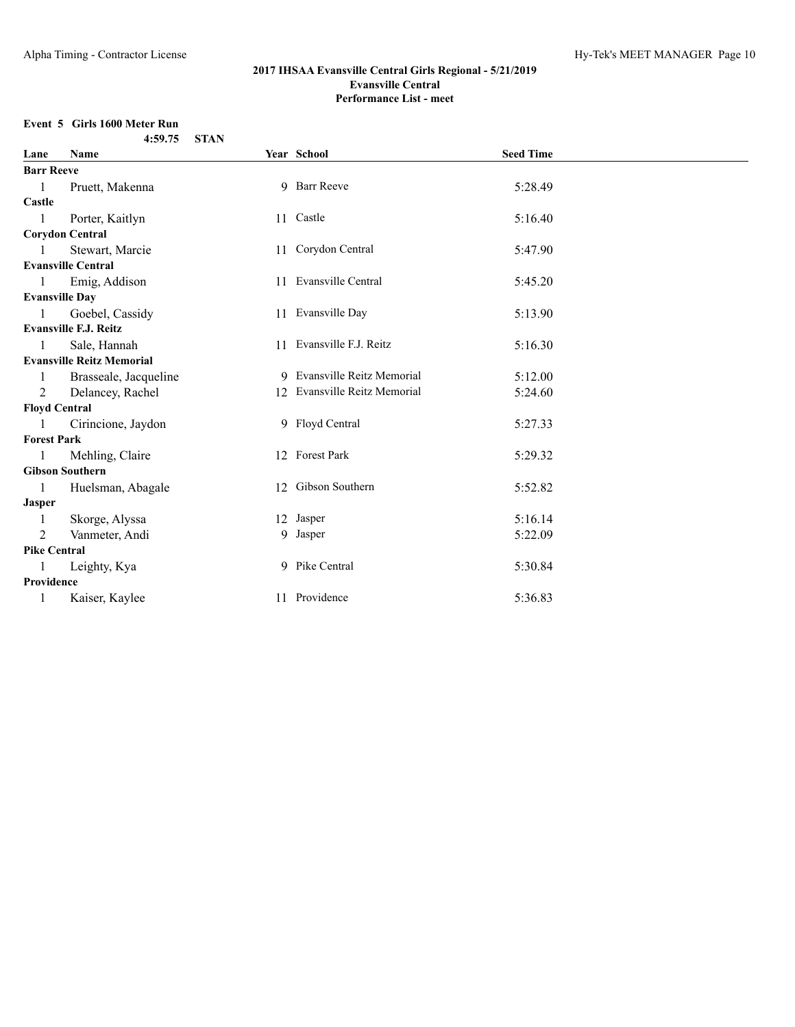## **Event 5 Girls 1600 Meter Run**

|  | 4:59.75 STAN |  |
|--|--------------|--|
|  |              |  |

| Lane                  | Name                             | Year School                  | <b>Seed Time</b> |  |
|-----------------------|----------------------------------|------------------------------|------------------|--|
| <b>Barr Reeve</b>     |                                  |                              |                  |  |
| 1                     | Pruett, Makenna                  | 9 Barr Reeve                 | 5:28.49          |  |
| Castle                |                                  |                              |                  |  |
|                       | Porter, Kaitlyn                  | 11 Castle                    | 5:16.40          |  |
|                       | <b>Corydon Central</b>           |                              |                  |  |
|                       | Stewart, Marcie                  | 11 Corydon Central           | 5:47.90          |  |
|                       | <b>Evansville Central</b>        |                              |                  |  |
| 1                     | Emig, Addison                    | 11 Evansville Central        | 5:45.20          |  |
| <b>Evansville Dav</b> |                                  |                              |                  |  |
|                       | Goebel, Cassidy                  | 11 Evansville Day            | 5:13.90          |  |
|                       | <b>Evansville F.J. Reitz</b>     |                              |                  |  |
| 1                     | Sale, Hannah                     | 11 Evansville F.J. Reitz     | 5:16.30          |  |
|                       | <b>Evansville Reitz Memorial</b> |                              |                  |  |
|                       | Brasseale, Jacqueline            | 9 Evansville Reitz Memorial  | 5:12.00          |  |
| 2                     | Delancey, Rachel                 | 12 Evansville Reitz Memorial | 5:24.60          |  |
| <b>Floyd Central</b>  |                                  |                              |                  |  |
|                       | Cirincione, Jaydon               | 9 Floyd Central              | 5:27.33          |  |
| <b>Forest Park</b>    |                                  |                              |                  |  |
| 1                     | Mehling, Claire                  | 12 Forest Park               | 5:29.32          |  |
|                       | <b>Gibson Southern</b>           |                              |                  |  |
| 1                     | Huelsman, Abagale                | 12 Gibson Southern           | 5:52.82          |  |
| <b>Jasper</b>         |                                  |                              |                  |  |
| 1                     | Skorge, Alyssa                   | 12 Jasper                    | 5:16.14          |  |
| 2                     | Vanmeter, Andi                   | 9 Jasper                     | 5:22.09          |  |
| <b>Pike Central</b>   |                                  |                              |                  |  |
| 1                     | Leighty, Kya                     | 9 Pike Central               | 5:30.84          |  |
| Providence            |                                  |                              |                  |  |
| 1                     | Kaiser, Kaylee                   | 11 Providence                | 5:36.83          |  |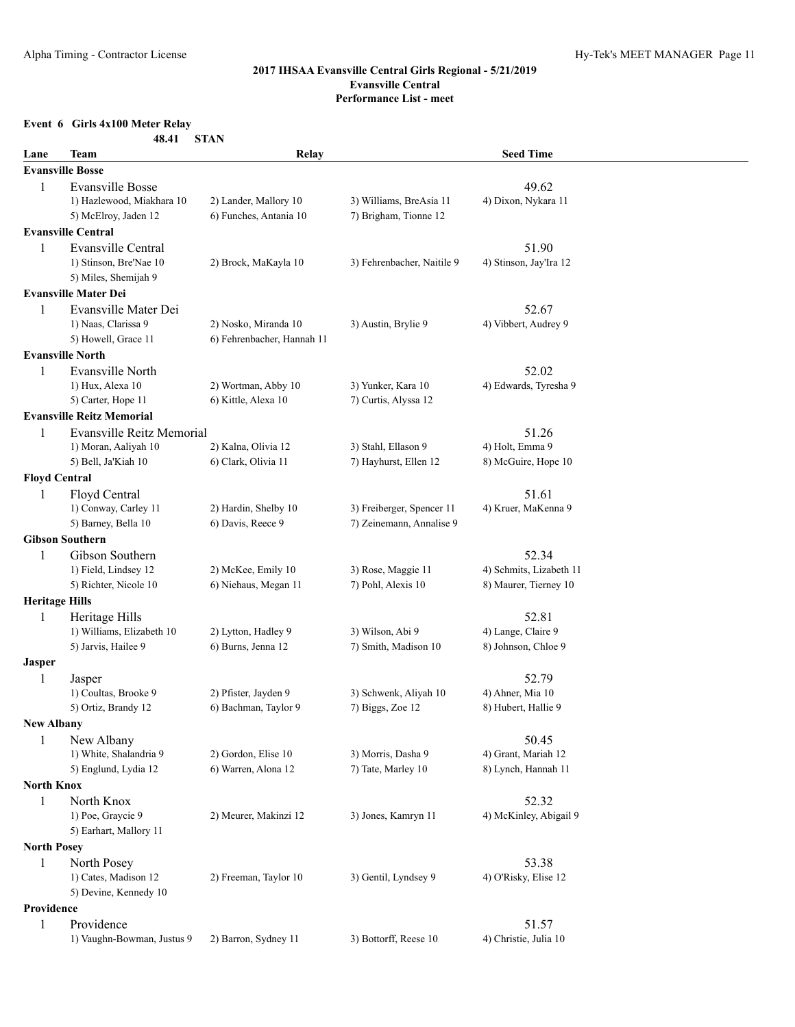## **Event 6 Girls 4x100 Meter Relay**

| 48.41 | <b>STAN</b> |
|-------|-------------|
|-------|-------------|

| Lane                  | <b>Team</b>                          | Relay                                        |                            | <b>Seed Time</b>             |  |
|-----------------------|--------------------------------------|----------------------------------------------|----------------------------|------------------------------|--|
|                       | <b>Evansville Bosse</b>              |                                              |                            |                              |  |
| 1                     | <b>Evansville Bosse</b>              |                                              |                            | 49.62                        |  |
|                       | 1) Hazlewood, Miakhara 10            | 2) Lander, Mallory 10                        | 3) Williams, BreAsia 11    | 4) Dixon, Nykara 11          |  |
|                       | 5) McElroy, Jaden 12                 | 6) Funches, Antania 10                       | 7) Brigham, Tionne 12      |                              |  |
|                       | <b>Evansville Central</b>            |                                              |                            |                              |  |
| 1                     | Evansville Central                   |                                              |                            | 51.90                        |  |
|                       | 1) Stinson, Bre'Nae 10               | 2) Brock, MaKayla 10                         | 3) Fehrenbacher, Naitile 9 | 4) Stinson, Jay'Ira 12       |  |
|                       | 5) Miles, Shemijah 9                 |                                              |                            |                              |  |
|                       | <b>Evansville Mater Dei</b>          |                                              |                            |                              |  |
| 1                     | Evansville Mater Dei                 |                                              |                            | 52.67                        |  |
|                       | 1) Naas, Clarissa 9                  | 2) Nosko, Miranda 10                         | 3) Austin, Brylie 9        | 4) Vibbert, Audrey 9         |  |
|                       | 5) Howell, Grace 11                  | 6) Fehrenbacher, Hannah 11                   |                            |                              |  |
|                       | <b>Evansville North</b>              |                                              |                            |                              |  |
| $\mathbf{1}$          | Evansville North                     |                                              |                            | 52.02                        |  |
|                       | 1) Hux, Alexa 10                     | 2) Wortman, Abby 10                          | 3) Yunker, Kara 10         | 4) Edwards, Tyresha 9        |  |
|                       | 5) Carter, Hope 11                   | 6) Kittle, Alexa 10                          | 7) Curtis, Alyssa 12       |                              |  |
|                       | <b>Evansville Reitz Memorial</b>     |                                              |                            |                              |  |
| 1                     | <b>Evansville Reitz Memorial</b>     |                                              |                            | 51.26                        |  |
|                       | 1) Moran, Aaliyah 10                 | 2) Kalna, Olivia 12                          | 3) Stahl, Ellason 9        | 4) Holt, Emma 9              |  |
|                       | 5) Bell, Ja'Kiah 10                  | 6) Clark, Olivia 11                          | 7) Hayhurst, Ellen 12      | 8) McGuire, Hope 10          |  |
| <b>Floyd Central</b>  |                                      |                                              |                            |                              |  |
| 1                     | Floyd Central                        |                                              |                            | 51.61                        |  |
|                       | 1) Conway, Carley 11                 | 2) Hardin, Shelby 10                         | 3) Freiberger, Spencer 11  | 4) Kruer, MaKenna 9          |  |
|                       | 5) Barney, Bella 10                  | 6) Davis, Reece 9                            | 7) Zeinemann, Annalise 9   |                              |  |
|                       | <b>Gibson Southern</b>               |                                              |                            |                              |  |
| 1                     | Gibson Southern                      |                                              |                            | 52.34                        |  |
|                       | 1) Field, Lindsey 12                 | 2) McKee, Emily 10                           | 3) Rose, Maggie 11         | 4) Schmits, Lizabeth 11      |  |
|                       | 5) Richter, Nicole 10                | 6) Niehaus, Megan 11                         | 7) Pohl, Alexis 10         | 8) Maurer, Tierney 10        |  |
| <b>Heritage Hills</b> |                                      |                                              |                            |                              |  |
| 1                     | Heritage Hills                       |                                              |                            | 52.81                        |  |
|                       | 1) Williams, Elizabeth 10            | 2) Lytton, Hadley 9                          | 3) Wilson, Abi 9           | 4) Lange, Claire 9           |  |
|                       | 5) Jarvis, Hailee 9                  | 6) Burns, Jenna 12                           | 7) Smith, Madison 10       | 8) Johnson, Chloe 9          |  |
| <b>Jasper</b>         |                                      |                                              |                            |                              |  |
| 1                     | Jasper                               |                                              |                            | 52.79                        |  |
|                       | 1) Coultas, Brooke 9                 | 2) Pfister, Jayden 9<br>6) Bachman, Taylor 9 | 3) Schwenk, Aliyah 10      | 4) Ahner, Mia 10             |  |
|                       | 5) Ortiz, Brandy 12                  |                                              | 7) Biggs, Zoe 12           | 8) Hubert, Hallie 9          |  |
| <b>New Albany</b>     |                                      |                                              |                            |                              |  |
| $\mathbf{1}$          | New Albany<br>1) White, Shalandria 9 | 2) Gordon, Elise 10                          | 3) Morris, Dasha 9         | 50.45<br>4) Grant, Mariah 12 |  |
|                       | 5) Englund, Lydia 12                 | 6) Warren, Alona 12                          | 7) Tate, Marley 10         | 8) Lynch, Hannah 11          |  |
| <b>North Knox</b>     |                                      |                                              |                            |                              |  |
| 1                     | North Knox                           |                                              |                            | 52.32                        |  |
|                       | 1) Poe, Graycie 9                    | 2) Meurer, Makinzi 12                        | 3) Jones, Kamryn 11        | 4) McKinley, Abigail 9       |  |
|                       | 5) Earhart, Mallory 11               |                                              |                            |                              |  |
| <b>North Posey</b>    |                                      |                                              |                            |                              |  |
| 1                     | North Posey                          |                                              |                            | 53.38                        |  |
|                       | 1) Cates, Madison 12                 | 2) Freeman, Taylor 10                        | 3) Gentil, Lyndsey 9       | 4) O'Risky, Elise 12         |  |
|                       | 5) Devine, Kennedy 10                |                                              |                            |                              |  |
| Providence            |                                      |                                              |                            |                              |  |
| $\mathbf{1}$          | Providence                           |                                              |                            | 51.57                        |  |
|                       | 1) Vaughn-Bowman, Justus 9           | 2) Barron, Sydney 11                         | 3) Bottorff, Reese 10      | 4) Christie, Julia 10        |  |
|                       |                                      |                                              |                            |                              |  |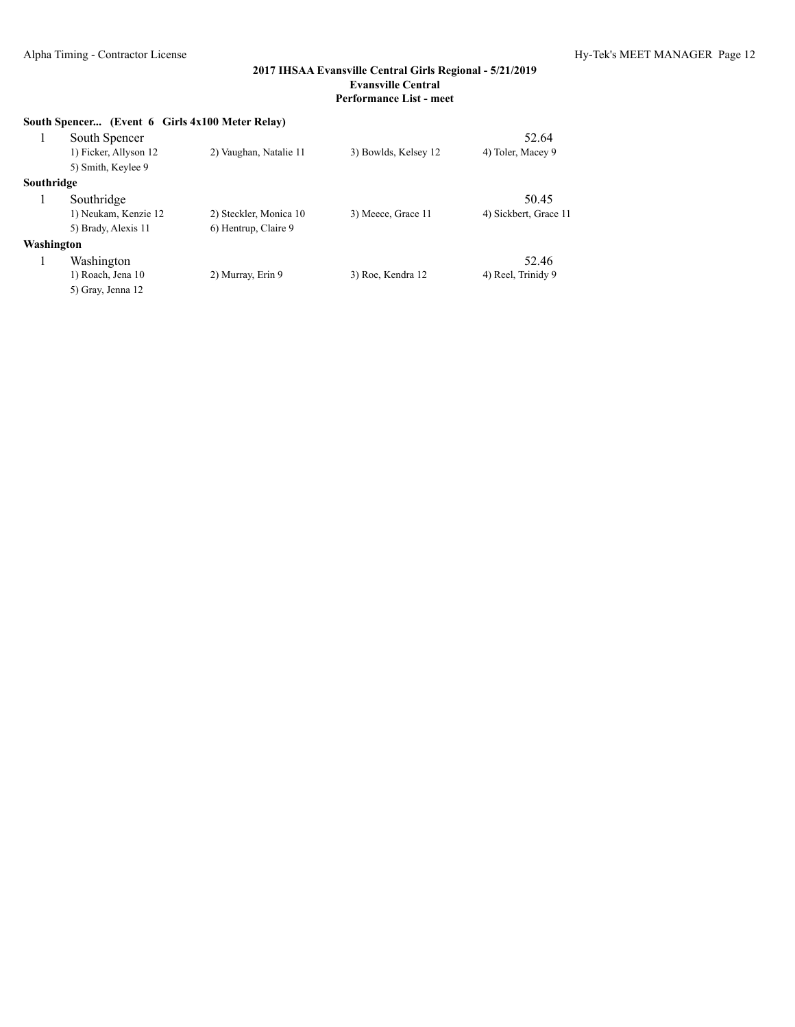|            | South Spencer (Event 6 Girls 4x100 Meter Relay) |                        |                      |                       |
|------------|-------------------------------------------------|------------------------|----------------------|-----------------------|
|            | South Spencer                                   |                        |                      | 52.64                 |
|            | 1) Ficker, Allyson 12                           | 2) Vaughan, Natalie 11 | 3) Bowlds, Kelsey 12 | 4) Toler, Macey 9     |
|            | 5) Smith, Keylee 9                              |                        |                      |                       |
| Southridge |                                                 |                        |                      |                       |
|            | Southridge                                      |                        |                      | 50.45                 |
|            | 1) Neukam, Kenzie 12                            | 2) Steckler, Monica 10 | 3) Meece, Grace 11   | 4) Sickbert, Grace 11 |
|            | 5) Brady, Alexis 11                             | 6) Hentrup, Claire 9   |                      |                       |
| Washington |                                                 |                        |                      |                       |
|            | Washington                                      |                        |                      | 52.46                 |
|            | 1) Roach, Jena 10                               | 2) Murray, Erin 9      | 3) Roe, Kendra 12    | 4) Reel, Trinidy 9    |
|            | 5) Gray, Jenna 12                               |                        |                      |                       |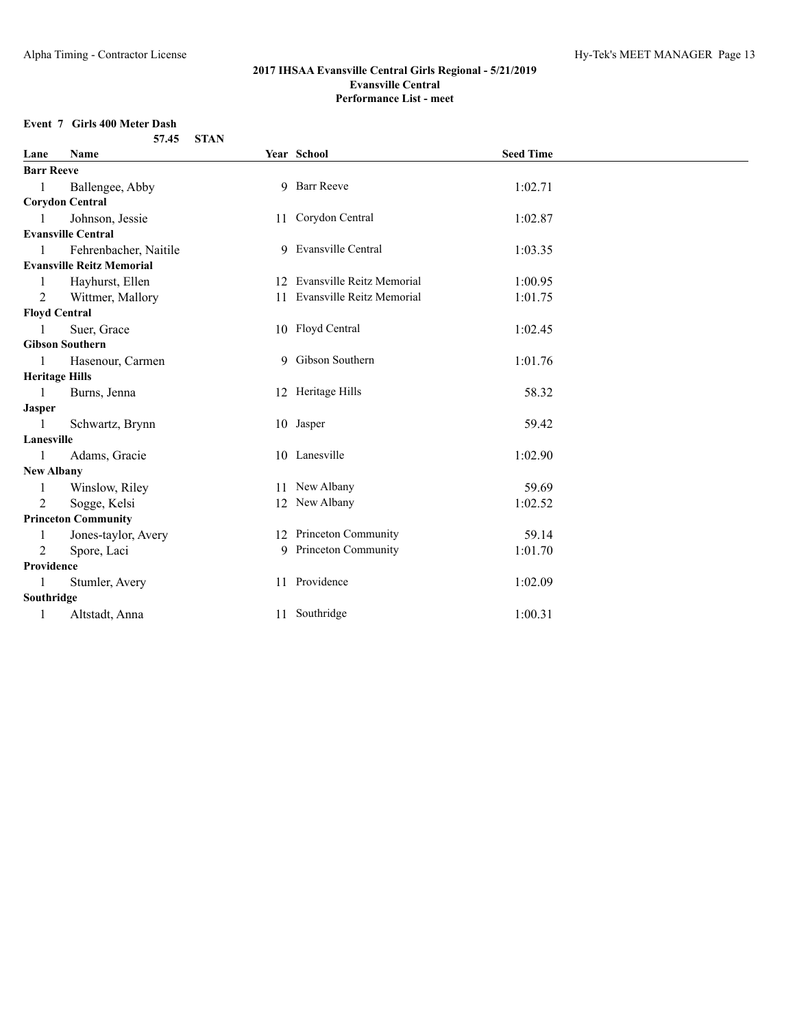### **Event 7 Girls 400 Meter Dash**

|                       | 57.45                            | <b>STAN</b> |                              |                  |
|-----------------------|----------------------------------|-------------|------------------------------|------------------|
| Lane                  | <b>Name</b>                      |             | Year School                  | <b>Seed Time</b> |
| <b>Barr Reeve</b>     |                                  |             |                              |                  |
| 1                     | Ballengee, Abby                  |             | 9 Barr Reeve                 | 1:02.71          |
|                       | <b>Corydon Central</b>           |             |                              |                  |
|                       | Johnson, Jessie                  |             | 11 Corydon Central           | 1:02.87          |
|                       | <b>Evansville Central</b>        |             |                              |                  |
| 1                     | Fehrenbacher, Naitile            |             | 9 Evansville Central         | 1:03.35          |
|                       | <b>Evansville Reitz Memorial</b> |             |                              |                  |
|                       | Hayhurst, Ellen                  |             | 12 Evansville Reitz Memorial | 1:00.95          |
| 2                     | Wittmer, Mallory                 |             | 11 Evansville Reitz Memorial | 1:01.75          |
| <b>Floyd Central</b>  |                                  |             |                              |                  |
|                       | Suer, Grace                      |             | 10 Floyd Central             | 1:02.45          |
|                       | <b>Gibson Southern</b>           |             |                              |                  |
|                       | Hasenour, Carmen                 |             | 9 Gibson Southern            | 1:01.76          |
| <b>Heritage Hills</b> |                                  |             |                              |                  |
|                       | Burns, Jenna                     |             | 12 Heritage Hills            | 58.32            |
| <b>Jasper</b>         |                                  |             |                              |                  |
|                       | Schwartz, Brynn                  |             | 10 Jasper                    | 59.42            |
| Lanesville            |                                  |             |                              |                  |
| 1                     | Adams, Gracie                    |             | 10 Lanesville                | 1:02.90          |
| <b>New Albany</b>     |                                  |             |                              |                  |
|                       | Winslow, Riley                   |             | 11 New Albany                | 59.69            |
| 2                     | Sogge, Kelsi                     |             | 12 New Albany                | 1:02.52          |
|                       | <b>Princeton Community</b>       |             |                              |                  |
| 1                     | Jones-taylor, Avery              |             | 12 Princeton Community       | 59.14            |
| 2                     | Spore, Laci                      |             | 9 Princeton Community        | 1:01.70          |
| Providence            |                                  |             |                              |                  |
|                       | Stumler, Avery                   |             | 11 Providence                | 1:02.09          |
| Southridge            |                                  |             |                              |                  |
|                       | Altstadt, Anna                   |             | 11 Southridge                | 1:00.31          |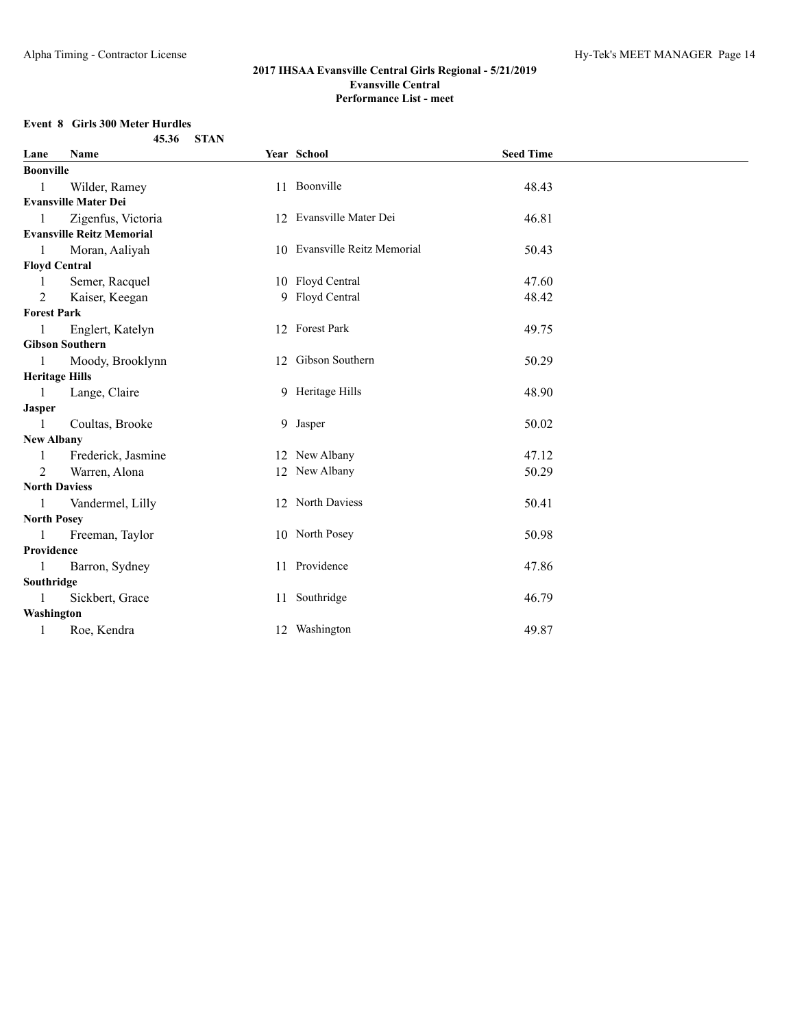### **Event 8 Girls 300 Meter Hurdles**

|                       | <b>STAN</b><br>45.36             |                              |                  |  |
|-----------------------|----------------------------------|------------------------------|------------------|--|
| Lane                  | Name                             | Year School                  | <b>Seed Time</b> |  |
| <b>Boonville</b>      |                                  |                              |                  |  |
| -1                    | Wilder, Ramey                    | 11 Boonville                 | 48.43            |  |
|                       | <b>Evansville Mater Dei</b>      |                              |                  |  |
| $\mathbf{1}$          | Zigenfus, Victoria               | 12 Evansville Mater Dei      | 46.81            |  |
|                       | <b>Evansville Reitz Memorial</b> |                              |                  |  |
| $\mathbf{1}$          | Moran, Aaliyah                   | 10 Evansville Reitz Memorial | 50.43            |  |
| <b>Floyd Central</b>  |                                  |                              |                  |  |
| -1                    | Semer, Racquel                   | 10 Floyd Central             | 47.60            |  |
| 2                     | Kaiser, Keegan                   | 9 Floyd Central              | 48.42            |  |
| <b>Forest Park</b>    |                                  |                              |                  |  |
| $\mathbf{1}$          | Englert, Katelyn                 | 12 Forest Park               | 49.75            |  |
|                       | <b>Gibson Southern</b>           |                              |                  |  |
| 1                     | Moody, Brooklynn                 | 12 Gibson Southern           | 50.29            |  |
| <b>Heritage Hills</b> |                                  |                              |                  |  |
| $\blacksquare$        | Lange, Claire                    | 9 Heritage Hills             | 48.90            |  |
| Jasper                |                                  |                              |                  |  |
| $\overline{1}$        | Coultas, Brooke                  | 9 Jasper                     | 50.02            |  |
| <b>New Albany</b>     |                                  |                              |                  |  |
| $\mathbf{1}$          | Frederick, Jasmine               | 12 New Albany                | 47.12            |  |
| $2^{1}$               | Warren, Alona                    | 12 New Albany                | 50.29            |  |
| <b>North Daviess</b>  |                                  |                              |                  |  |
| 1                     | Vandermel, Lilly                 | 12 North Daviess             | 50.41            |  |
| <b>North Posey</b>    |                                  |                              |                  |  |
| $\mathbf{1}$          | Freeman, Taylor                  | 10 North Posey               | 50.98            |  |
| Providence            |                                  |                              |                  |  |
| -1                    | Barron, Sydney                   | 11 Providence                | 47.86            |  |
| Southridge            |                                  |                              |                  |  |
| 1                     | Sickbert, Grace                  | 11 Southridge                | 46.79            |  |
| Washington            |                                  |                              |                  |  |
| 1                     | Roe, Kendra                      | 12 Washington                | 49.87            |  |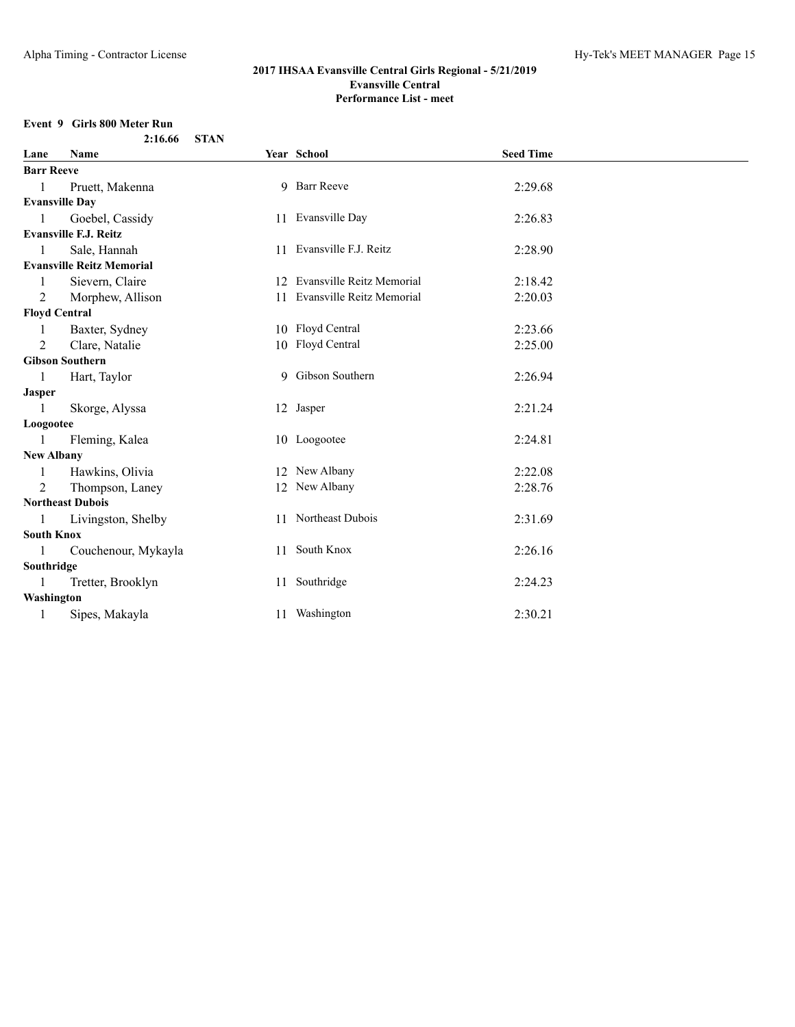### **Event 9 Girls 800 Meter Run**

|                   | <b>STAN</b><br>2:16.66           |                              |                  |  |
|-------------------|----------------------------------|------------------------------|------------------|--|
| Lane              | Name                             | Year School                  | <b>Seed Time</b> |  |
| <b>Barr Reeve</b> |                                  |                              |                  |  |
| $\mathbf{1}$      | Pruett, Makenna                  | 9 Barr Reeve                 | 2:29.68          |  |
|                   | <b>Evansville Day</b>            |                              |                  |  |
| $\mathbf{1}$      | Goebel, Cassidy                  | 11 Evansville Day            | 2:26.83          |  |
|                   | <b>Evansville F.J. Reitz</b>     |                              |                  |  |
| 1                 | Sale, Hannah                     | 11 Evansville F.J. Reitz     | 2:28.90          |  |
|                   | <b>Evansville Reitz Memorial</b> |                              |                  |  |
| 1                 | Sievern, Claire                  | 12 Evansville Reitz Memorial | 2:18.42          |  |
| 2                 | Morphew, Allison                 | 11 Evansville Reitz Memorial | 2:20.03          |  |
|                   | <b>Floyd Central</b>             |                              |                  |  |
| 1                 | Baxter, Sydney                   | 10 Floyd Central             | 2:23.66          |  |
| 2                 | Clare, Natalie                   | 10 Floyd Central             | 2:25.00          |  |
|                   | <b>Gibson Southern</b>           |                              |                  |  |
| 1                 | Hart, Taylor                     | 9 Gibson Southern            | 2:26.94          |  |
| <b>Jasper</b>     |                                  |                              |                  |  |
| 1                 | Skorge, Alyssa                   | 12 Jasper                    | 2:21.24          |  |
| Loogootee         |                                  |                              |                  |  |
| 1                 | Fleming, Kalea                   | 10 Loogootee                 | 2:24.81          |  |
| <b>New Albany</b> |                                  |                              |                  |  |
| 1                 | Hawkins, Olivia                  | 12 New Albany                | 2:22.08          |  |
| 2                 | Thompson, Laney                  | 12 New Albany                | 2:28.76          |  |
|                   | <b>Northeast Dubois</b>          |                              |                  |  |
| 1                 | Livingston, Shelby               | 11 Northeast Dubois          | 2:31.69          |  |
| <b>South Knox</b> |                                  |                              |                  |  |
| 1                 | Couchenour, Mykayla              | 11 South Knox                | 2:26.16          |  |
| Southridge        |                                  |                              |                  |  |
|                   | Tretter, Brooklyn                | 11 Southridge                | 2:24.23          |  |
| Washington        |                                  |                              |                  |  |
|                   | Sipes, Makayla                   | 11 Washington                | 2:30.21          |  |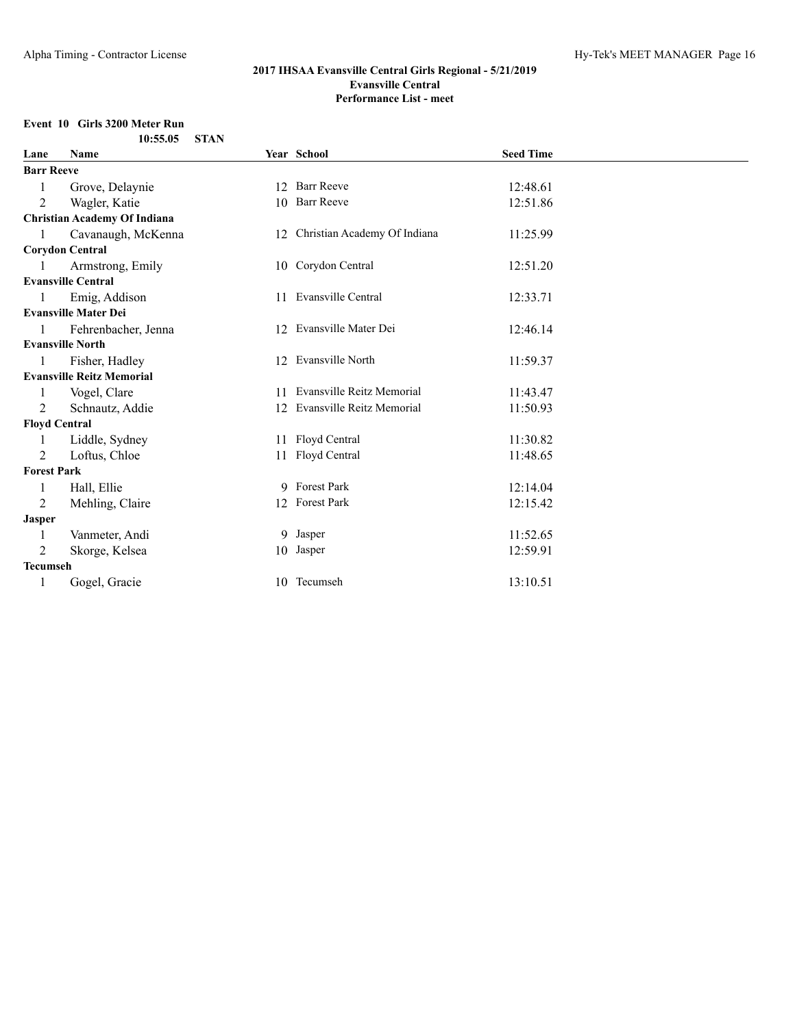# **Event 10 Girls 3200 Meter Run**

| Lane                 | Name                                | Year School                     | <b>Seed Time</b> |  |
|----------------------|-------------------------------------|---------------------------------|------------------|--|
| <b>Barr Reeve</b>    |                                     |                                 |                  |  |
|                      | Grove, Delaynie                     | 12 Barr Reeve                   | 12:48.61         |  |
| 2                    | Wagler, Katie                       | 10 Barr Reeve                   | 12:51.86         |  |
|                      | <b>Christian Academy Of Indiana</b> |                                 |                  |  |
| 1                    | Cavanaugh, McKenna                  | 12 Christian Academy Of Indiana | 11:25.99         |  |
|                      | <b>Corydon Central</b>              |                                 |                  |  |
|                      | Armstrong, Emily                    | 10 Corydon Central              | 12:51.20         |  |
|                      | <b>Evansville Central</b>           |                                 |                  |  |
|                      | Emig, Addison                       | 11 Evansville Central           | 12:33.71         |  |
|                      | <b>Evansville Mater Dei</b>         |                                 |                  |  |
|                      | Fehrenbacher, Jenna                 | 12 Evansville Mater Dei         | 12:46.14         |  |
|                      | <b>Evansville North</b>             |                                 |                  |  |
|                      | Fisher, Hadley                      | 12 Evansville North             | 11:59.37         |  |
|                      | <b>Evansville Reitz Memorial</b>    |                                 |                  |  |
|                      | Vogel, Clare                        | 11 Evansville Reitz Memorial    | 11:43.47         |  |
| 2                    | Schnautz, Addie                     | 12 Evansville Reitz Memorial    | 11:50.93         |  |
| <b>Floyd Central</b> |                                     |                                 |                  |  |
|                      | Liddle, Sydney                      | 11 Floyd Central                | 11:30.82         |  |
| 2                    | Loftus, Chloe                       | 11 Floyd Central                | 11:48.65         |  |
| <b>Forest Park</b>   |                                     |                                 |                  |  |
| 1                    | Hall, Ellie                         | 9 Forest Park                   | 12:14.04         |  |
| 2                    | Mehling, Claire                     | 12 Forest Park                  | 12:15.42         |  |
| <b>Jasper</b>        |                                     |                                 |                  |  |
| 1                    | Vanmeter, Andi                      | 9 Jasper                        | 11:52.65         |  |
| 2                    | Skorge, Kelsea                      | 10 Jasper                       | 12:59.91         |  |
| <b>Tecumseh</b>      |                                     |                                 |                  |  |
|                      | Gogel, Gracie                       | 10 Tecumseh                     | 13:10.51         |  |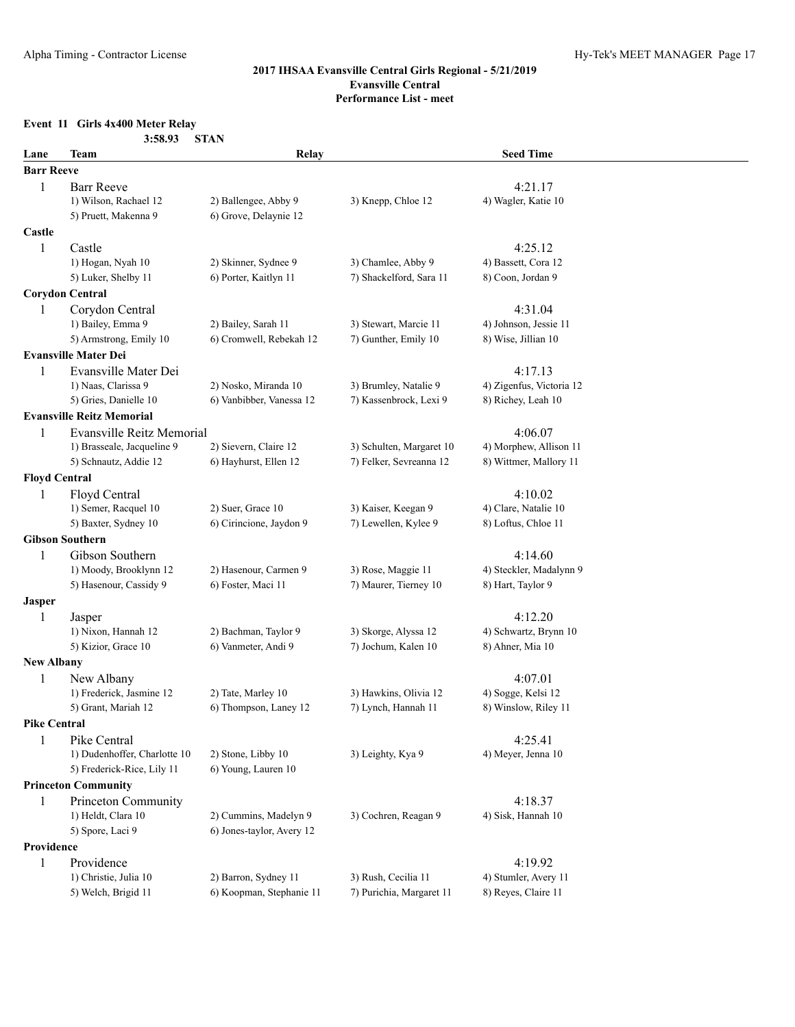## **Event 11 Girls 4x400 Meter Relay**

|                      | 3:58.93                          | <b>STAN</b>               |                          |                          |  |
|----------------------|----------------------------------|---------------------------|--------------------------|--------------------------|--|
| Lane                 | <b>Team</b>                      | Relay                     |                          | <b>Seed Time</b>         |  |
| <b>Barr Reeve</b>    |                                  |                           |                          |                          |  |
| 1                    | <b>Barr Reeve</b>                |                           |                          | 4:21.17                  |  |
|                      | 1) Wilson, Rachael 12            | 2) Ballengee, Abby 9      | 3) Knepp, Chloe 12       | 4) Wagler, Katie 10      |  |
|                      | 5) Pruett, Makenna 9             | 6) Grove, Delaynie 12     |                          |                          |  |
| Castle               |                                  |                           |                          |                          |  |
| 1                    | Castle                           |                           |                          | 4:25.12                  |  |
|                      | 1) Hogan, Nyah 10                | 2) Skinner, Sydnee 9      | 3) Chamlee, Abby 9       | 4) Bassett, Cora 12      |  |
|                      | 5) Luker, Shelby 11              | 6) Porter, Kaitlyn 11     | 7) Shackelford, Sara 11  | 8) Coon, Jordan 9        |  |
|                      | <b>Corydon Central</b>           |                           |                          |                          |  |
| 1                    | Corydon Central                  |                           |                          | 4:31.04                  |  |
|                      | 1) Bailey, Emma 9                | 2) Bailey, Sarah 11       | 3) Stewart, Marcie 11    | 4) Johnson, Jessie 11    |  |
|                      | 5) Armstrong, Emily 10           | 6) Cromwell, Rebekah 12   | 7) Gunther, Emily 10     | 8) Wise, Jillian 10      |  |
|                      | <b>Evansville Mater Dei</b>      |                           |                          |                          |  |
| 1                    | Evansville Mater Dei             |                           |                          | 4:17.13                  |  |
|                      | 1) Naas, Clarissa 9              | 2) Nosko, Miranda 10      | 3) Brumley, Natalie 9    | 4) Zigenfus, Victoria 12 |  |
|                      | 5) Gries, Danielle 10            | 6) Vanbibber, Vanessa 12  | 7) Kassenbrock, Lexi 9   | 8) Richey, Leah 10       |  |
|                      | <b>Evansville Reitz Memorial</b> |                           |                          |                          |  |
| 1                    | Evansville Reitz Memorial        |                           |                          | 4:06.07                  |  |
|                      | 1) Brasseale, Jacqueline 9       | 2) Sievern, Claire 12     | 3) Schulten, Margaret 10 | 4) Morphew, Allison 11   |  |
|                      | 5) Schnautz, Addie 12            | 6) Hayhurst, Ellen 12     | 7) Felker, Sevreanna 12  | 8) Wittmer, Mallory 11   |  |
| <b>Floyd Central</b> |                                  |                           |                          |                          |  |
| 1                    | Floyd Central                    |                           |                          | 4:10.02                  |  |
|                      | 1) Semer, Racquel 10             | 2) Suer, Grace 10         | 3) Kaiser, Keegan 9      | 4) Clare, Natalie 10     |  |
|                      | 5) Baxter, Sydney 10             | 6) Cirincione, Jaydon 9   | 7) Lewellen, Kylee 9     | 8) Loftus, Chloe 11      |  |
|                      | <b>Gibson Southern</b>           |                           |                          |                          |  |
| 1                    | Gibson Southern                  |                           |                          | 4:14.60                  |  |
|                      | 1) Moody, Brooklynn 12           | 2) Hasenour, Carmen 9     | 3) Rose, Maggie 11       | 4) Steckler, Madalynn 9  |  |
|                      | 5) Hasenour, Cassidy 9           | 6) Foster, Maci 11        | 7) Maurer, Tierney 10    | 8) Hart, Taylor 9        |  |
| <b>Jasper</b>        |                                  |                           |                          |                          |  |
| 1                    | Jasper                           |                           |                          | 4:12.20                  |  |
|                      | 1) Nixon, Hannah 12              | 2) Bachman, Taylor 9      | 3) Skorge, Alyssa 12     | 4) Schwartz, Brynn 10    |  |
|                      | 5) Kizior, Grace 10              | 6) Vanmeter, Andi 9       | 7) Jochum, Kalen 10      | 8) Ahner, Mia 10         |  |
| <b>New Albany</b>    |                                  |                           |                          |                          |  |
| 1                    | New Albany                       |                           |                          | 4:07.01                  |  |
|                      | 1) Frederick, Jasmine 12         | 2) Tate, Marley 10        | 3) Hawkins, Olivia 12    | 4) Sogge, Kelsi 12       |  |
|                      | 5) Grant, Mariah 12              | 6) Thompson, Laney 12     | 7) Lynch, Hannah 11      | 8) Winslow, Riley 11     |  |
| <b>Pike Central</b>  |                                  |                           |                          |                          |  |
| 1                    | Pike Central                     |                           |                          | 4:25.41                  |  |
|                      | 1) Dudenhoffer, Charlotte 10     | 2) Stone, Libby 10        | 3) Leighty, Kya 9        | 4) Meyer, Jenna 10       |  |
|                      | 5) Frederick-Rice, Lily 11       | 6) Young, Lauren 10       |                          |                          |  |
|                      | <b>Princeton Community</b>       |                           |                          |                          |  |
| 1                    | Princeton Community              |                           |                          | 4:18.37                  |  |
|                      | 1) Heldt, Clara 10               | 2) Cummins, Madelyn 9     | 3) Cochren, Reagan 9     | 4) Sisk, Hannah 10       |  |
|                      | 5) Spore, Laci 9                 | 6) Jones-taylor, Avery 12 |                          |                          |  |
| Providence           |                                  |                           |                          |                          |  |
| 1                    | Providence                       |                           |                          | 4:19.92                  |  |
|                      | 1) Christie, Julia 10            | 2) Barron, Sydney 11      | 3) Rush, Cecilia 11      | 4) Stumler, Avery 11     |  |
|                      | 5) Welch, Brigid 11              | 6) Koopman, Stephanie 11  | 7) Purichia, Margaret 11 | 8) Reyes, Claire 11      |  |
|                      |                                  |                           |                          |                          |  |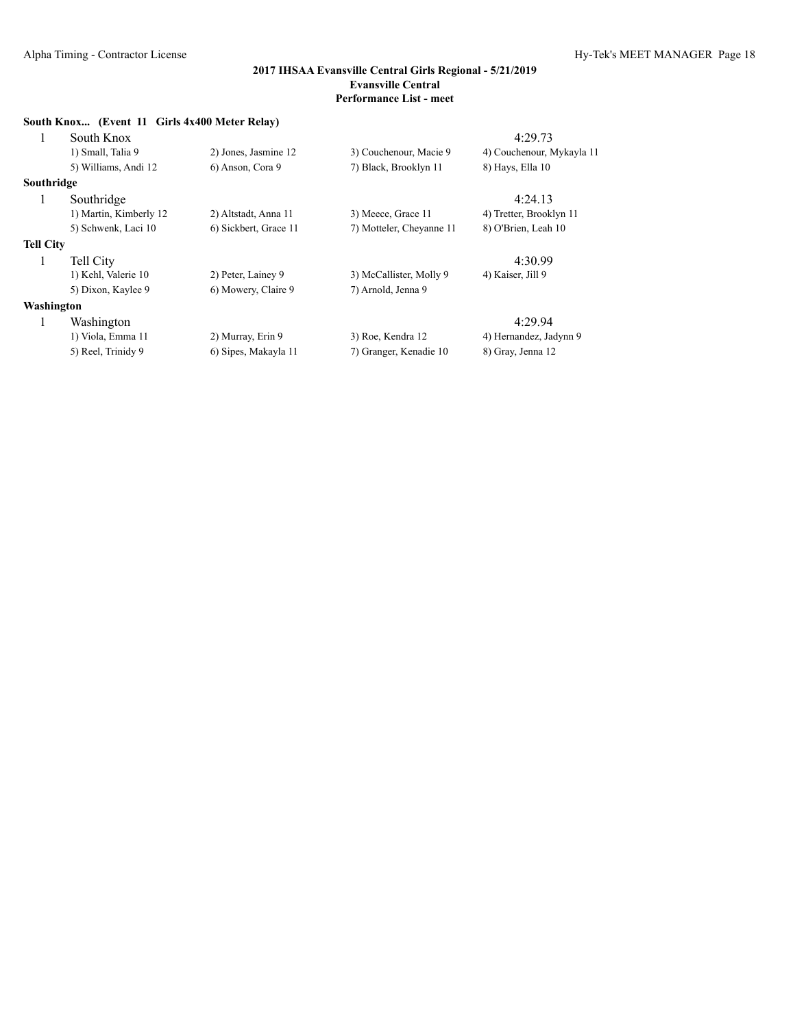|            | South Knox (Event 11 Girls 4x400 Meter Relay) |                       |                          |                           |
|------------|-----------------------------------------------|-----------------------|--------------------------|---------------------------|
| 1          | South Knox                                    |                       |                          | 4:29.73                   |
|            | 1) Small, Talia 9                             | 2) Jones, Jasmine 12  | 3) Couchenour, Macie 9   | 4) Couchenour, Mykayla 11 |
|            | 5) Williams, Andi 12                          | 6) Anson, Cora 9      | 7) Black, Brooklyn 11    | 8) Hays, Ella 10          |
| Southridge |                                               |                       |                          |                           |
| 1          | Southridge                                    |                       |                          | 4:24.13                   |
|            | 1) Martin, Kimberly 12                        | 2) Altstadt, Anna 11  | 3) Meece, Grace 11       | 4) Tretter, Brooklyn 11   |
|            | 5) Schwenk, Laci 10                           | 6) Sickbert, Grace 11 | 7) Motteler, Cheyanne 11 | 8) O'Brien, Leah 10       |
| Tell City  |                                               |                       |                          |                           |
| 1          | Tell City                                     |                       |                          | 4:30.99                   |
|            | 1) Kehl, Valerie 10                           | 2) Peter, Lainey 9    | 3) McCallister, Molly 9  | 4) Kaiser, Jill 9         |
|            | 5) Dixon, Kaylee 9                            | 6) Mowery, Claire 9   | 7) Arnold, Jenna 9       |                           |
| Washington |                                               |                       |                          |                           |
| 1          | Washington                                    |                       |                          | 4:29.94                   |
|            | 1) Viola, Emma 11                             | 2) Murray, Erin 9     | 3) Roe, Kendra 12        | 4) Hernandez, Jadynn 9    |
|            | 5) Reel, Trinidy 9                            | 6) Sipes, Makayla 11  | 7) Granger, Kenadie 10   | 8) Gray, Jenna 12         |
|            |                                               |                       |                          |                           |